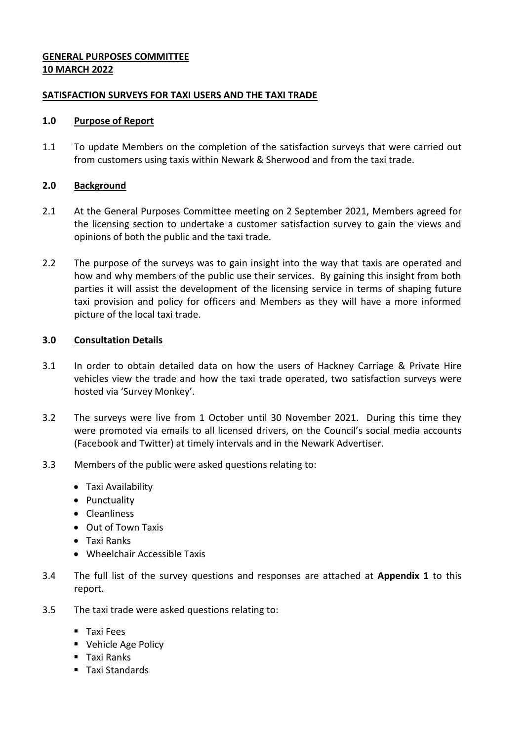# **GENERAL PURPOSES COMMITTEE 10 MARCH 2022**

# **SATISFACTION SURVEYS FOR TAXI USERS AND THE TAXI TRADE**

### **1.0 Purpose of Report**

1.1 To update Members on the completion of the satisfaction surveys that were carried out from customers using taxis within Newark & Sherwood and from the taxi trade.

### **2.0 Background**

- 2.1 At the General Purposes Committee meeting on 2 September 2021, Members agreed for the licensing section to undertake a customer satisfaction survey to gain the views and opinions of both the public and the taxi trade.
- 2.2 The purpose of the surveys was to gain insight into the way that taxis are operated and how and why members of the public use their services. By gaining this insight from both parties it will assist the development of the licensing service in terms of shaping future taxi provision and policy for officers and Members as they will have a more informed picture of the local taxi trade.

### **3.0 Consultation Details**

- 3.1 In order to obtain detailed data on how the users of Hackney Carriage & Private Hire vehicles view the trade and how the taxi trade operated, two satisfaction surveys were hosted via 'Survey Monkey'.
- 3.2 The surveys were live from 1 October until 30 November 2021. During this time they were promoted via emails to all licensed drivers, on the Council's social media accounts (Facebook and Twitter) at timely intervals and in the Newark Advertiser.
- 3.3 Members of the public were asked questions relating to:
	- Taxi Availability
	- Punctuality
	- Cleanliness
	- Out of Town Taxis
	- Taxi Ranks
	- Wheelchair Accessible Taxis
- 3.4 The full list of the survey questions and responses are attached at **Appendix 1** to this report.
- 3.5 The taxi trade were asked questions relating to:
	- **Taxi Fees**
	- **Vehicle Age Policy**
	- Taxi Ranks
	- Taxi Standards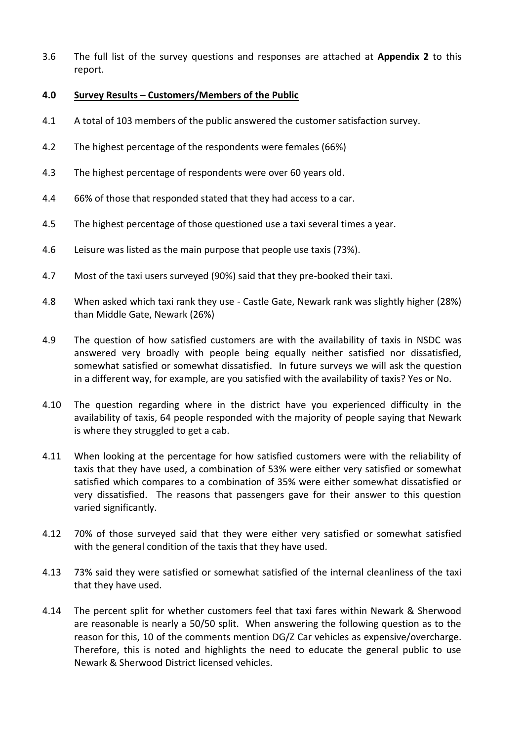3.6 The full list of the survey questions and responses are attached at **Appendix 2** to this report.

### **4.0 Survey Results – Customers/Members of the Public**

- 4.1 A total of 103 members of the public answered the customer satisfaction survey.
- 4.2 The highest percentage of the respondents were females (66%)
- 4.3 The highest percentage of respondents were over 60 years old.
- 4.4 66% of those that responded stated that they had access to a car.
- 4.5 The highest percentage of those questioned use a taxi several times a year.
- 4.6 Leisure was listed as the main purpose that people use taxis (73%).
- 4.7 Most of the taxi users surveyed (90%) said that they pre-booked their taxi.
- 4.8 When asked which taxi rank they use Castle Gate, Newark rank was slightly higher (28%) than Middle Gate, Newark (26%)
- 4.9 The question of how satisfied customers are with the availability of taxis in NSDC was answered very broadly with people being equally neither satisfied nor dissatisfied, somewhat satisfied or somewhat dissatisfied. In future surveys we will ask the question in a different way, for example, are you satisfied with the availability of taxis? Yes or No.
- 4.10 The question regarding where in the district have you experienced difficulty in the availability of taxis, 64 people responded with the majority of people saying that Newark is where they struggled to get a cab.
- 4.11 When looking at the percentage for how satisfied customers were with the reliability of taxis that they have used, a combination of 53% were either very satisfied or somewhat satisfied which compares to a combination of 35% were either somewhat dissatisfied or very dissatisfied. The reasons that passengers gave for their answer to this question varied significantly.
- 4.12 70% of those surveyed said that they were either very satisfied or somewhat satisfied with the general condition of the taxis that they have used.
- 4.13 73% said they were satisfied or somewhat satisfied of the internal cleanliness of the taxi that they have used.
- 4.14 The percent split for whether customers feel that taxi fares within Newark & Sherwood are reasonable is nearly a 50/50 split. When answering the following question as to the reason for this, 10 of the comments mention DG/Z Car vehicles as expensive/overcharge. Therefore, this is noted and highlights the need to educate the general public to use Newark & Sherwood District licensed vehicles.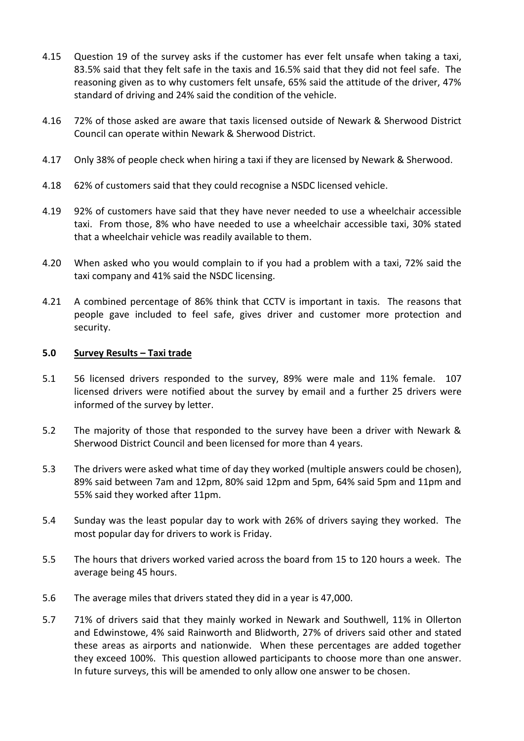- 4.15 Question 19 of the survey asks if the customer has ever felt unsafe when taking a taxi, 83.5% said that they felt safe in the taxis and 16.5% said that they did not feel safe. The reasoning given as to why customers felt unsafe, 65% said the attitude of the driver, 47% standard of driving and 24% said the condition of the vehicle.
- 4.16 72% of those asked are aware that taxis licensed outside of Newark & Sherwood District Council can operate within Newark & Sherwood District.
- 4.17 Only 38% of people check when hiring a taxi if they are licensed by Newark & Sherwood.
- 4.18 62% of customers said that they could recognise a NSDC licensed vehicle.
- 4.19 92% of customers have said that they have never needed to use a wheelchair accessible taxi. From those, 8% who have needed to use a wheelchair accessible taxi, 30% stated that a wheelchair vehicle was readily available to them.
- 4.20 When asked who you would complain to if you had a problem with a taxi, 72% said the taxi company and 41% said the NSDC licensing.
- 4.21 A combined percentage of 86% think that CCTV is important in taxis. The reasons that people gave included to feel safe, gives driver and customer more protection and security.

### **5.0 Survey Results – Taxi trade**

- 5.1 56 licensed drivers responded to the survey, 89% were male and 11% female. 107 licensed drivers were notified about the survey by email and a further 25 drivers were informed of the survey by letter.
- 5.2 The majority of those that responded to the survey have been a driver with Newark & Sherwood District Council and been licensed for more than 4 years.
- 5.3 The drivers were asked what time of day they worked (multiple answers could be chosen), 89% said between 7am and 12pm, 80% said 12pm and 5pm, 64% said 5pm and 11pm and 55% said they worked after 11pm.
- 5.4 Sunday was the least popular day to work with 26% of drivers saying they worked. The most popular day for drivers to work is Friday.
- 5.5 The hours that drivers worked varied across the board from 15 to 120 hours a week. The average being 45 hours.
- 5.6 The average miles that drivers stated they did in a year is 47,000.
- 5.7 71% of drivers said that they mainly worked in Newark and Southwell, 11% in Ollerton and Edwinstowe, 4% said Rainworth and Blidworth, 27% of drivers said other and stated these areas as airports and nationwide. When these percentages are added together they exceed 100%. This question allowed participants to choose more than one answer. In future surveys, this will be amended to only allow one answer to be chosen.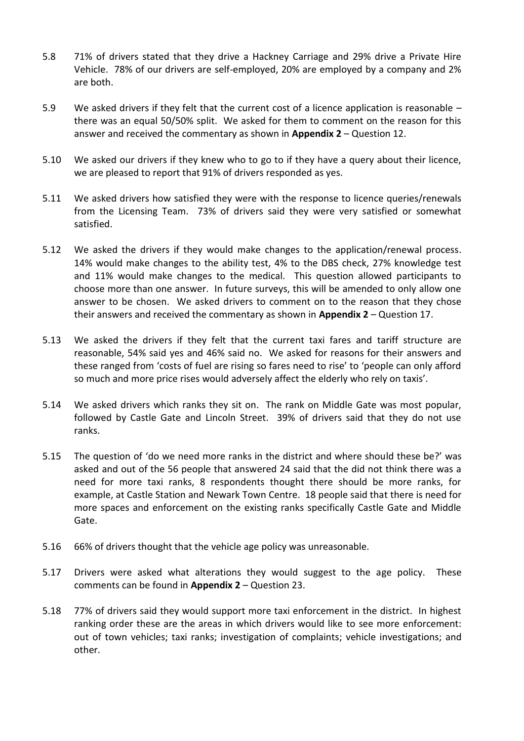- 5.8 71% of drivers stated that they drive a Hackney Carriage and 29% drive a Private Hire Vehicle. 78% of our drivers are self-employed, 20% are employed by a company and 2% are both.
- 5.9 We asked drivers if they felt that the current cost of a licence application is reasonable there was an equal 50/50% split. We asked for them to comment on the reason for this answer and received the commentary as shown in **Appendix 2** – Question 12.
- 5.10 We asked our drivers if they knew who to go to if they have a query about their licence, we are pleased to report that 91% of drivers responded as yes.
- 5.11 We asked drivers how satisfied they were with the response to licence queries/renewals from the Licensing Team. 73% of drivers said they were very satisfied or somewhat satisfied.
- 5.12 We asked the drivers if they would make changes to the application/renewal process. 14% would make changes to the ability test, 4% to the DBS check, 27% knowledge test and 11% would make changes to the medical. This question allowed participants to choose more than one answer. In future surveys, this will be amended to only allow one answer to be chosen. We asked drivers to comment on to the reason that they chose their answers and received the commentary as shown in **Appendix 2** – Question 17.
- 5.13 We asked the drivers if they felt that the current taxi fares and tariff structure are reasonable, 54% said yes and 46% said no. We asked for reasons for their answers and these ranged from 'costs of fuel are rising so fares need to rise' to 'people can only afford so much and more price rises would adversely affect the elderly who rely on taxis'.
- 5.14 We asked drivers which ranks they sit on. The rank on Middle Gate was most popular, followed by Castle Gate and Lincoln Street. 39% of drivers said that they do not use ranks.
- 5.15 The question of 'do we need more ranks in the district and where should these be?' was asked and out of the 56 people that answered 24 said that the did not think there was a need for more taxi ranks, 8 respondents thought there should be more ranks, for example, at Castle Station and Newark Town Centre. 18 people said that there is need for more spaces and enforcement on the existing ranks specifically Castle Gate and Middle Gate.
- 5.16 66% of drivers thought that the vehicle age policy was unreasonable.
- 5.17 Drivers were asked what alterations they would suggest to the age policy. These comments can be found in **Appendix 2** – Question 23.
- 5.18 77% of drivers said they would support more taxi enforcement in the district. In highest ranking order these are the areas in which drivers would like to see more enforcement: out of town vehicles; taxi ranks; investigation of complaints; vehicle investigations; and other.